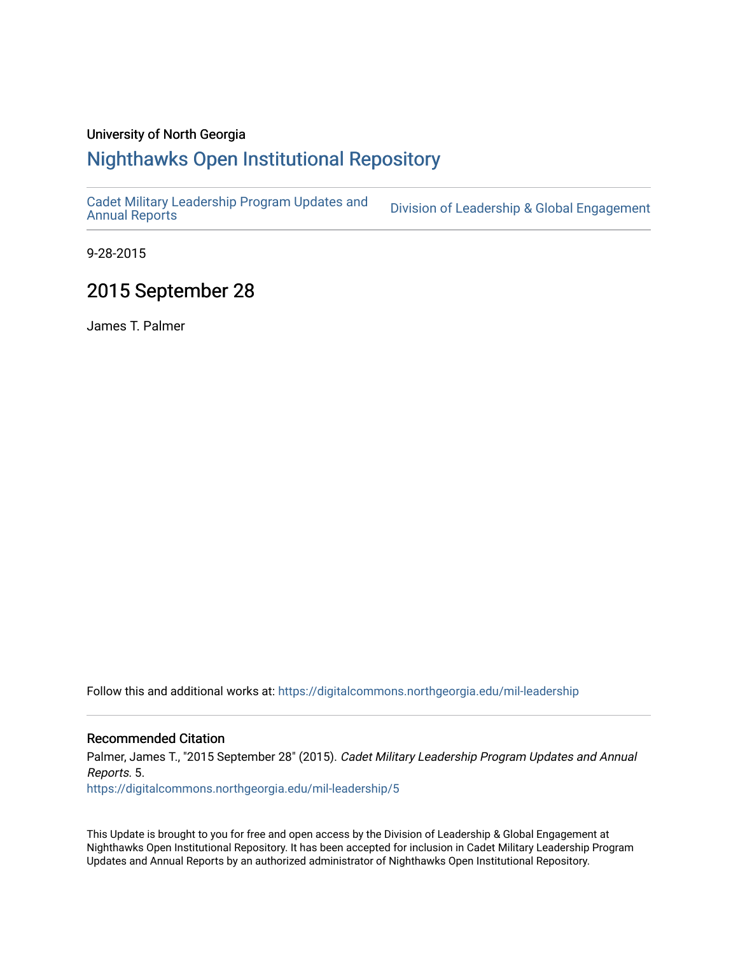### University of North Georgia

# [Nighthawks Open Institutional Repository](https://digitalcommons.northgeorgia.edu/)

[Cadet Military Leadership Program Updates and](https://digitalcommons.northgeorgia.edu/mil-leadership)  Division of Leadership & Global Engagement

9-28-2015

## 2015 September 28

James T. Palmer

Follow this and additional works at: [https://digitalcommons.northgeorgia.edu/mil-leadership](https://digitalcommons.northgeorgia.edu/mil-leadership?utm_source=digitalcommons.northgeorgia.edu%2Fmil-leadership%2F5&utm_medium=PDF&utm_campaign=PDFCoverPages) 

#### Recommended Citation

Palmer, James T., "2015 September 28" (2015). Cadet Military Leadership Program Updates and Annual Reports. 5.

[https://digitalcommons.northgeorgia.edu/mil-leadership/5](https://digitalcommons.northgeorgia.edu/mil-leadership/5?utm_source=digitalcommons.northgeorgia.edu%2Fmil-leadership%2F5&utm_medium=PDF&utm_campaign=PDFCoverPages) 

This Update is brought to you for free and open access by the Division of Leadership & Global Engagement at Nighthawks Open Institutional Repository. It has been accepted for inclusion in Cadet Military Leadership Program Updates and Annual Reports by an authorized administrator of Nighthawks Open Institutional Repository.